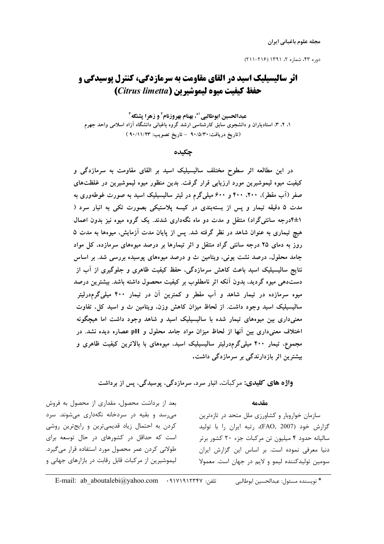مجله علوم باغياني ايران

## **اثر سالیسیلیک اسید در القای مقاومت به سرمازدگی، کنترل پوسیدگی و** حفظ كيفيت ميوه ليموشيرين (Citrus limetta)

عبدالحسين ابوطالبي '\*، بهنام بهروزنام' و زهرا يشنگه " ۱، ۲، ۳، استادیاران و دانشجوی سابق کارشناسی ارشد گروه باغبانی دانشگاه آزاد اسلامی واحد جهرم (تاريخ دريافت:٩٠/٥/٣٠ - تاريخ تصويب: ٩٠/١١/٢٣ )

حكىدە

در این مطالعه اثر سطوح مختلف سالیسیلیک اسید بر القای مقاومت به سرمازدگی و کیفیت میوه لیموشیرین مورد ارزیابی قرار گرفت. بدین منظور میوه لیموشیرین در غلظتهای صفر (آب مقطر)، ۴۰۰، ۴۰۰ و ۶۰۰ میلی گرم در لیتر سالیسیلیک اسید به صورت غوطهوری به مدت ۵ دقیقه تیمار و پس از بستهبندی در کیسه پلاستیکی بصورت تکی به انبار سرد ( ۱±۴درجه سانتیگراد) منتقل و مدت دو ماه نگهداری شدند. یک گروه میوه نیز بدون اعمال هیچ تیماری به عنوان شاهد در نظر گرفته شد. پس از پایان مدت آزمایش، میوهها به مدت ۵ روز به دمای ۲۵ درجه سانتی گراد منتقل و اثر تیمارها بر درصد میوههای سرمازده، کل مواد جامد محلول، درصد نشت یونی، ویتامین ث و درصد میوههای پوسیده بررسی شد. بر اساس نتایج سالیسیلیک اسید باعث کاهش سرمازدگی، حفظ کیفیت ظاهری و جلوگیری از آب از دستدهی میوه گردید، بدون آنکه اثر نامطلوب بر کیفیت محصول داشته باشد. بیشترین درصد میوه سرمازده در تیمار شاهد و آب مقطر و کمترین آن در تیمار ۴۰۰ میلی گرمدرلیتر سالیسیلیک اسید وجود داشت. از لحاظ میزان کاهش وزن، ویتامین ث و اسید کل، تفاوت معنیداری بین میوههای تیمار شده با سالیسیلیک اسید و شاهد وجود داشت اما هیچگونه اختلاف معنیداری بین آنها از لحاظ میزان مواد جامد محلول و pH عصاره دیده نشد. در مجموع، تیمار ۴۰۰ میلیگرمدرلیتر سالیسیلیک اسید، میوههای با بالاترین کیفیت ظاهری و بیشترین اثر بازدارندگی بر سرمازدگی داشت.

واژه های کلیدی: مرکبات، انبار سرد، سرمازدگی، پوسیدگی، پس از برداشت

 $40.100$ 

بعد از برداشت محصول، مقداری از محصول به فروش می رسد و بقیه در سردخانه نگهداری می شوند. سرد کردن به احتمال زیاد قدیمیترین و رایجترین روشی است که حداقل در کشورهای در حال توسعه برای طولانی کردن عمر محصول مورد استفاده قرار می گیرد. لیموشیرین از مرکبات قابل رقابت در بازارهای جهانی و

سازمان خواروبار و کشاورزی ملل متحد در تازهترین گزارش خود (FAO, 2007)، رتبه ایران را با تولید سالیانه حدود ۴ میلیون تن مرکبات جزء ۲۰ کشور برتر دنیا معرفی نموده است. بر اساس این گزارش ایران سومین تولیدکننده لیمو و لایم در جهان است. معمولا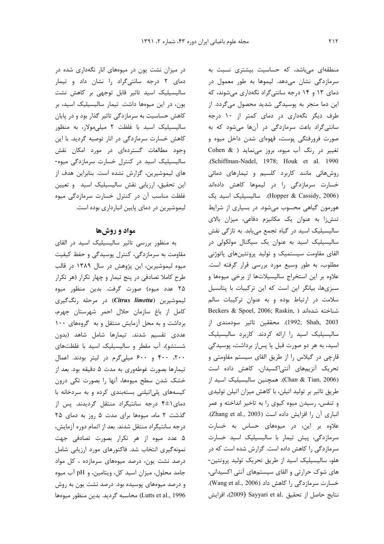در میزان نشت یون در میوههای انار نگهداری شده در دمای ۲ درجه سانتی گراد را نشان داد و تیمار سالیسیلیک اسید تاثیر قابل توجهی بر کاهش نشت یون، در این میوهها داشت. تیمار سالیسیلیک اسید، بر کاهش حساسیت به سرمازدگی تاثیر گذار بود و در پایان سالیسیلیک اسید با غلظت ۲ میلی مولار، به منظور كاهش خسارت سرمازدگی در انار توصيه گرديد. با اين وجود مطالعات گستردهای در مورد امکان نقش سالیسیلیک اسید در کنترل خسارت سرمازدگی میوه-های لیموشیرین، گزارش نشده است. بنابراین هدف از این تحقیق، ارزیابی نقش سالیسیلیک اسید و تعیین غلظت مناسب آن در کنترل خسارت سرمازدگی میوه لیموشیرین در دمای پایین انبارداری بوده است.

## مواد و روشها

به منظور بررسی تاثیر سالیسیلیک اسید در القای مقاومت به سرمازدگی، کنترل پوسیدگی و حفظ کیفیت میوه لیموشیرین، این پژوهش در سال ۱۳۸۹ در قالب طرح کاملا تصادفی در پنج تیمار و چهار تکرار (هر تکرار ۲۵ عدد میوه) صورت گرفت. بدین منظور میوه ليموشيرين (Citrus limetta) در مرحله رنگگيري كامل از باغ سازمان حلال احمر شهرستان جهرم، برداشت و به محل آزمایش منتقل و به گروههای ١٠٠ عددی تقسیم شدند. تیمارها شامل شاهد (بدون شستشو)، آب مقطر و سالیسیلیک اسید با غلظتهای ٢٠٠، ۴٠٠ و ۶٠٠ ميلي گرم در ليتر بودند. اعمال تیمارها بصورت غوطهوری به مدت ۵ دقیقه بود. بعد از خشک شدن سطح میوهها، آنها را بصورت تکی درون کیسههای پلی اتیلنی بستهبندی کرده و به سردخانه با دمای ۱±۴ درجه سانتیگراد منتقل گردیدند. پس از گذشت ٢ ماه، ميوهها براى مدت ۵ روز به دماى ٢۵ درجه سانتیگراد منتقل شدند. بعد از اتمام دوره آزمایش، ۵ عدد میوه از هر تکرار بصورت تصادفی جهت نمونهگیری انتخاب شد. فاکتورهای مورد ارزیابی شامل درصد نشت یون، درصد میوههای سرمازده ، کل مواد جامد محلول، میزان اسید کل، ویتامین، و pH آب میوه و درصد میوههای پوسیده بود. درصد نشت یون به روش Lutts et al., 1996) محاسبه گرديد. بدين منظور ميوهها

منطقهای میباشد، که حساسیت بیشتری نسبت به سرمازدگی نشان میدهد. لیموها به طور معمول در دمای ۱۳ و ۱۴ درجه سانتی گراد نگهداری میشوند، که این دما منجر به پوسیدگی شدید محصول میگردد. از طرف دیگر نگهداری در دمای کمتر از ۱۰ درجه سانتی گراد باعث سرمازدگی در آنها میشود که به صورت فرورفتگی پوست، قهوهای شدن داخل میوه و تغییر در رنگ آب میوه، بروز مینماید ( Cohen & .(Schiffman-Nadel, 1978; Houk et al. 1990 روشهائی مانند کاربرد کلسیم و تیمارهای دمائی خسارت سرمازدگی را در لیموها کاهش دادهاند (Hopper & Cassidy, 2006). سالیسیلیک اسید یک هورمون گیاهی محسوب میشود. در بسیاری از شرایط تنش;ا به عنوان یک مکانیزم دفاعی، میزان بالای سالیسیلیک اسید در گیاه تجمع می یابد. به تازگی نقش سالیسیلیک اسید به عنوان یک سیگنال مولکولی در القای مقاومت سیستمیک و تولید پروتئینهای پاتوژنی مطلوب، به طور وسیع مورد بررسی قرار گرفته است. علاوه بر این استخراج سالیسیلاتها از برخی میوهها و سبزیها، بیانگر این است که این ترکیبات با پتانسیل سلامت در ارتباط بوده و به عنوان تركيبات سالم Beckers & Spoel, 2006; Raskin, ) شناخته شدهاند 1992; Shah, 2003). محققين تاثير سودمندى از سالیسیلیک اسید را ارائه کردند. کاربرد سالیسیلیک اسید، به هر دو صورت قبل یا پساز برداشت، پوسیدگی قارچی در گیلاس را از طریق القای سیستم مقاومتی و تحریک آنزیمهای آنتیاکسیدان، کاهش داده است (Chan & Tian, 2006). همچنین سالیسیلیک اسید از طریق تاثیر بر تولید اتیلن، با کاهش میزان اتیلن تولیدی و تنفس، رسیدن میوه کیوی را به تاخیر انداخته و عمر انباری آن را افزایش داده است (Zhang et al., 2003). علاوه بر این، در میوههای حساس به خسارت سرمازدگی، پیش تیمار با سالیسیلیک اسید خسارت سرمازدگی را کاهش داده است. گزارش شده است که در هلو، سالیسیلیک اسید از طریق تحریک تولید پروتئین-های شوک حرارتی و القای سیستمهای آنتی اکسیدانی، خسارت سرمازدگی را کاهش داد (Wang et al., 2006). نتايج حاصل از تحقيق .Sayyari et al (2009)، افزايش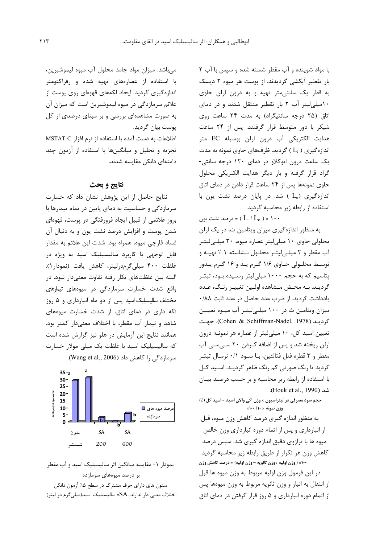با مواد شوینده و آب مقطر شسته شده و سیس با آب ۲ بار تقطیر آبکشی گردیدند. از پوست هر میوه ۲ دیسک به قطر یک سانتی متر تهیه و به درون ارلن حاوی ١٠ميلي ليتر آب ٢ بار تقطير منتقل شدند و در دماى اتاق (۲۵ درجه سانتیگراد) به مدت ۲۴ ساعت روی شیکر با دور متوسط قرار گرفتند. پس از ۲۴ ساعت هدایت الکتریکی آب درون ارلن بوسیله EC متر اندازهگیری ( L<sub>t</sub> ) گردید. ظرفهای حاوی نمونه به مدت یک ساعت درون اتوکلاو در دمای ۱۲۰ درجه سانتی-گراد قرار گرفته و بار دیگر هدایت الکتریکی محلول حاوی نمونهها پس از ۲۴ ساعت قرار دادن در دمای اتاق اندازهگیری (L<sub>o</sub> ) شد. در پایان درصد نشت یون با استفاده از رابطه زیر محاسبه گردید.

درصد نشت یون (  $L_t/L_o$  ) × ۱۰۰ به منظور اندازهگیری میزان ویتامین ث، در یک ارلن محلولی حاوی ١٠ ميلي ليتر عصاره ميوه، ٢٠ ميلهاليتر آب مقطر و ۲ میلے لیتے محلول نـشاسته ۱ ٪ تهیـه و توسط محلولی حاوی ۱/۶ گـرم یـد و ۱۶ گـرم یـدور پتاسیم که به حجم ۱۰۰۰ میلی لیتر رسـیده بـود، تیتـر گرديـد. بـه محـض مـشاهده اولـين تغييـر رنـگ، عـدد یادداشت گردید. از ضرب عدد حاصل در عدد ثابت ۰/۸۸ میزان ویتامین ث در ۱۰۰ میلهاییتر آب میـوه تعیـین گردیـد (Cohen & Schiffman-Nadel, 1978). جهت تعیین اسید کل، ١٠ میلی لیتر از عصاره هر نمونـه درون ارلن ریخته شد و پس از اضافه کردن ۲۰ سےسے آب مقطر و ۳ قطره فنل فتالئین، بـا سـود ۰/۱ نرمـال تیتـر گردید تا رنگ صورتی کم رنگ ظاهر گردیـد. اسـید کـل با استفاده از رابطه زیر محاسبه و بر حسب درصـد بیـان شد (Houk et al., 1990).

حجم سود مصرفی در تیتراسیون × وزن اکی والان اسید = اسید کل (٪) وزن نمونه × ١٠/ ١٠٠×

به منظور اندازه گیری درصد کاهش وزن میوه، قبل از انبارداری و پس از اتمام دوره انبارداری وزن خالص میوه ها با ترازوی دقیق اندازه گیری شد. سپس درصد كاهش وزن هر تكرار از طريق رابطه زير محاسبه گرديد. 100× ( وزن اوليه / وزن ثانويه -وزن اوليه) = درصد كاهش وزن در اين فرمول وزن اوليه مربوط به وزن ميوه ها قبل از انتقال به انبار و وزن ثانويه مربوط به وزن ميوهها پس از اتمام دوره انبارداری و ۵ روز قرار گرفتن در دمای اتاق

می باشد. میزان مواد جامد محلول آب میوه لیموشیرین، با استفاده از عصارههای تهیه شده و رفراکتومتر اندازهگیری گردید. ایجاد لکههای قهوهای روی پوست از علائم سرمازدگی در میوه لیموشیرین است که میزان آن به صورت مشاهدهای بررسی و بر مبنای درصدی از کل پوست بيان گرديد.

اطلاعات به دست آمده با استفاده از نرم افزار MSTAT-C تجزیه و تحلیل و میانگینها با استفاده از آزمون چند دامنەاي دانكن مقايسە شدند.

## نتايج و بحث

نتایج حاصل از این پژوهش نشان داد که خسارت سرمازدگی و حساسیت به دمای پایین در تمام تیمارها با بروز علائمی از قبیل ایجاد فرورفتگی در پوست، قهوهای شدن پوست و افزایش درصد نشت یون و به دنبال آن فساد قارچی میوه، همراه بود. شدت این علائم به مقدار قابل توجهی با کاربرد سالیسیلیک اسید به ویژه در غلظت ۴۰۰ میلی گرمدرلیتر، کاهش یافت (نمودار ۱). البته بين غلظتهاى بكار رفته تفاوت معنىدار نبود. در واقع شدت خسارت سرمازدگی در میوههای تیمارهای مختلف سالیسیلیک اسید پس از دو ماه انبارداری و ۵ روز نگه داری در دمای اتاق، از شدت خسارت میوههای شاهد و تیمار آب مقطر، با اختلاف معنیدار کمتر بود. همانند نتایج این آزمایش در هلو نیز گزارش شده است که سالیسیلیک اسید با غلظت یک میلی مولار خسارت سرمازدگی را کاهش داد (Wang et al., 2006).



نمودار ١- مقايسه ميانگين اثر ساليسيليک اسيد و آب مقطر بر درصد میوههای سرمازده ستون های دارای حرف مشترک در سطح ۰٪ آزمون دانکن اختلاف معنی دار ندارند .SA= سالیسیلیک اسید(میلی5رم در لیتر)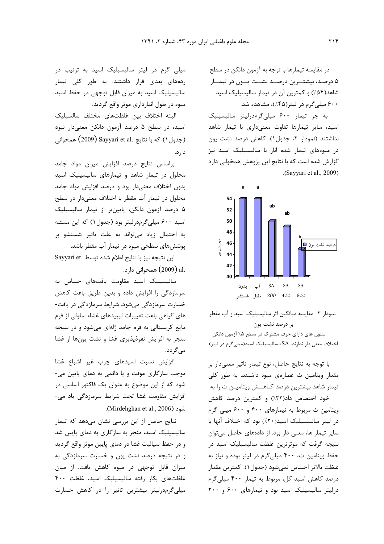در مقايسه تيمارها با توجه به آزمون دانكن در سطح ۵ درصـد، بیشتــرین درصــد نشــت یــون در تیمــار شاهد(۵۴٪) و کمترین آن در تیمار سالیسیلیک اسید ۶۰۰ میلی گرم در لیتر (۴۵٪)، مشاهده شد.

به جز تیمار ۶۰۰ میلیگرمدرلیتر سالیسیلیک اسید، سایر تیمارها تفاوت معنیداری با تیمار شاهد نداشتند (نمودار ٢، جدول ١). كاهش درصد نشت يون در میوههای تیمار شده انار با سالیسیلیک اسید نیز گزارش شده است که با نتایج این پژوهش همخوانی دارد .(Sayyari et al., 2009).



نمودار ٢- مقايسه ميانگين اثر ساليسيليک اسيد و آب مقطر بر درصد نشت یون

ستون های دارای حرف مشترک در سطح ۰٪ آزمون دانکن اختلاف معنی دار ندارند. SA= سالیسیلیک اسید(میلی گرم در لیتر)

با توجه به نتایج حاصل، نوع تیمار تاثیر معنی دار بر مقدار ویتامین ث عصارهی میوه داشتند. به طور کلی تیمار شاهد بیشترین درصد کـاهــش ویتامیـن ث را به خود اختصاص داد(٣٢٪) و كمترين درصد كاهش ویتامین ث مربوط به تیمارهای ۴۰۰ و ۶۰۰ میلی گرم در ليتر سالسسيليک اسيد(٢٠٪) بود که اختلاف آنها با سایر تیمار ها، معنی دار بود. از دادههای حاصل میتوان نتیجه گرفت که موثرترین غلظت سالیسیلیک اسید در حفظ ویتامین ث، ۴۰۰ میلی گرم در لیتر بوده و نیاز به غلظت بالاتر احساس نمي شود (جدول ١). كمترين مقدار درصد کاهش اسید کل، مربوط به تیمار ۴۰۰ میلی گرم درلیتر سالیسیلیک اسید بود و تیمارهای ۶۰۰ و ۲۰۰

میلی گرم در لیتر سالیسیلیک اسید به ترتیب در ردههای بعدی قرار داشتند. به طور کلی تیمار سالیسیلیک اسید به میزان قابل توجهی در حفظ اسید میوه در طول انبارداری موثر واقع گردید.

البته اختلاف بين غلظتهاى مختلف سالسيليك اسید، در سطح ۵ درصد آزمون دانکن معنیدار نبود همخواني) (2009) Sayyari et al. جدول ۱) همخواني دار د.

براساس نتايج درصد افزايش ميزان مواد جامد محلول در تیمار شاهد و تیمارهای سالیسیلیک اسید بدون اختلاف معنىدار بود و درصد افزايش مواد جامد محلول در تیمار آب مقطر با اختلاف معنیدار در سطح ۵ درصد آزمون دانکن، پایینتر از تیمار سالیسیلیک اسید ۶۰۰ میلی گرمدرلیتر بود (جدول۱) که این مسئله به احتمال زیاد میتواند به علت تاثیر شستشو بر پوشش های سطحی میوه در تیمار آب مقطر باشد.

این نتیجه نیز با نتایج اعلام شده توسط Sayyari et .al (2009) همخوانی دارد.

سالیسیلیک اسید مقاومت بافتهای حساس به سرمازدگی را افزایش داده و بدین طریق باعث کاهش خسارت سرمازدگی میشود. شرایط سرمازدگی در بافت-های گیاهی باعث تغییرات لیپیدهای غشاء سلولی از فرم مایع کریستالی به فرم جامد ژلهای می شود و در نتیجه منجر به افزایش نفوذپذیری غشا و نشت یونها از غشا مے گردد.

افزایش نسبت اسیدهای چرب غیر اشباع غشا موجب سازگاری موقت و یا دائمی به دمای پایین می-شود که از این موضوع به عنوان یک فاکتور اساسی در افزایش مقاومت غشا تحت شرایط سرمازدگی یاد می-.(Mirdehghan et al., 2006).

نتایج حاصل از این بررسی نشان میدهد که تیمار سالیسیلیک اسید، منجر به سازگاری به دمای پایین شد و در حفظ سیالیت غشا در دمای پایین موثر واقع گردید و در نتیجه درصد نشت یون و خسارت سرمازدگی به میزان قابل توجهی در میوه کاهش یافت. از میان غلظتهای بکار رفته سالیسیلیک اسید، غلظت ۴۰۰ میلی گرمدرلیتر بیشترین تاثیر را در کاهش خسارت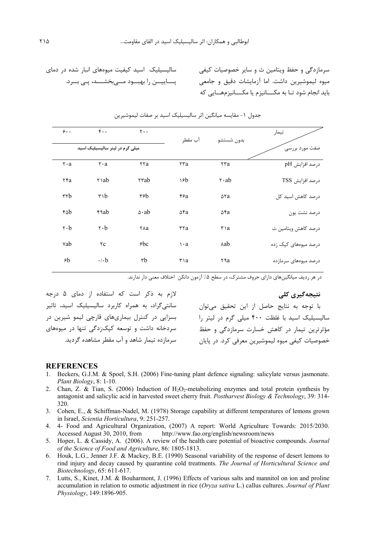سالیسیلیک اسید کیفیت میوههای انبار شده در دمای یــــاییــــن را بهبـــود مــــی,بخشــــد، پــی بـــرد.

لازم به ذکر است که استفاده از دمای ۵ درجه

سانتی گراد، به همراه کاربرد سالیسیلیک اسید، تاثیر

بسزایی در کنترل بیماریهای قارچی لیمو شیرین در

سردخانه داشت و توسعه کیک;دگی تنها در میوههای

سرمازده تیمار شاهد و آب مقطر مشاهده گردید.

| تيمار                | بدون شستشو                     | آب مقطر      | $Y \cdot \cdot$   | $F \cdot \cdot$                   | $\mathbf{\hat{z}}$ .             |
|----------------------|--------------------------------|--------------|-------------------|-----------------------------------|----------------------------------|
| صفت مورد بررسی       |                                |              |                   | میلی گرم در لیتر سالیسیلیک اسید   |                                  |
| 0رصد افزايش pH       | ٢٣a                            | ٢٣a          | <b>TTa</b>        | $\mathbf{r} \cdot \mathbf{a}$     | $\mathsf{r} \cdot \mathsf{a}$    |
| درصد افزايش TSS      | $\mathsf{r} \cdot \mathsf{ab}$ | ١۶b          | ۲۳ab              | ۲۱ab                              | ٢۴a                              |
| درصد کاهش اسید کل    | $\Delta$ ۲a                    | 55a          | ۳۶b               | $\mathbf{r} \setminus \mathbf{b}$ | $\mathsf{r}\mathsf{r}\mathsf{b}$ |
| درصد نشت یون         | ۵۴a                            | ۵۴a          | $\Delta \cdot ab$ | ۴۹ab                              | ۴۵b                              |
| درصد کاهش ویتامین ث  | $\mathbf{r}$ a                 | rra          | тла               | $\mathbf{r} \cdot \mathbf{b}$     | $\mathsf{r} \cdot \mathsf{b}$    |
| درصد میوههای کپک زده | ∧ab                            | $\mathbf{a}$ | 6c                | $\tau c$                          | vab                              |
| درصد میوههای سرمازده | ۲۹а                            | ۳۱a          | rb                | $\cdot$ / $\cdot$ b               | ۶b                               |

جدول ١- مقايسه ميانگين اثر ساليسيليک اسيد بر صفات ليموشيرين

در هر ردیف میانگینهای دارای حروف مشترک، در سطح ۰٪ آزمون دانکن اختلاف معنی دار ندارند.

نتىجەگىرى كلى

با توجه به نتایج حاصل از این تحقیق می;توان سالیسیلیک اسید با غلظت ۴۰۰ میلی گرم در لیتر را مؤثرترین تیمار در کاهش خسارت سرمازدگی و حفظ خصوصیات کیفی میوه لیموشیرین معرفی کرد. در پایان

سرمازدگی و حفظ ویتامین ث و سایر خصوصیات کیفی میوه لیموشیرین داشت. اما آزمایشات دقیق و جامعی

.<br>باید انجام شود تـا به مکــــانیزم یا مکــــانیزمهـــایی که

## **REFERENCES**

- 1. Beckers, G.J.M. & Spoel, S.H. (2006) Fine-tuning plant defence signaling: salicylate versus jasmonate. Plant Biology, 8: 1-10.
- 2. Chan, Z. & Tian, S. (2006) Induction of  $H_2O_2$ -metabolizing enzymes and total protein synthesis by antagonist and salicylic acid in harvested sweet cherry fruit. Postharvest Biology & Technology, 39: 314-320.
- 3. Cohen, E., & Schiffman-Nadel, M. (1978) Storage capability at different temperatures of lemons grown in Israel, Scientia Horticultura, 9: 251-257.
- 4. 4- Food and Agricultural Organization, (2007) A report: World Agriculture Towards: 2015/2030. Accessed August 30, 2010, from http://www.fao.org/english/newsroom/news
- 5. Hoper, L. & Cassidy, A. (2006). A review of the health care potential of bioactive compounds. Journal of the Science of Food and Agriculture, 86: 1805-1813.
- 6. Houk, L.G., Jenner J.F. & Mackey, B.E. (1990) Seasonal variability of the response of desert lemons to rind injury and decay caused by quarantine cold treatments. The Journal of Horticultural Science and Biotechnology, 65: 611-617.
- 7. Lutts, S., Kinet, J.M. & Bouharmont, J. (1996) Effects of various salts and mannitol on ion and proline accumulation in relation to osmotic adjustment in rice (Oryza sativa L.) callus cultures. Journal of Plant Physiology, 149:1896-905.